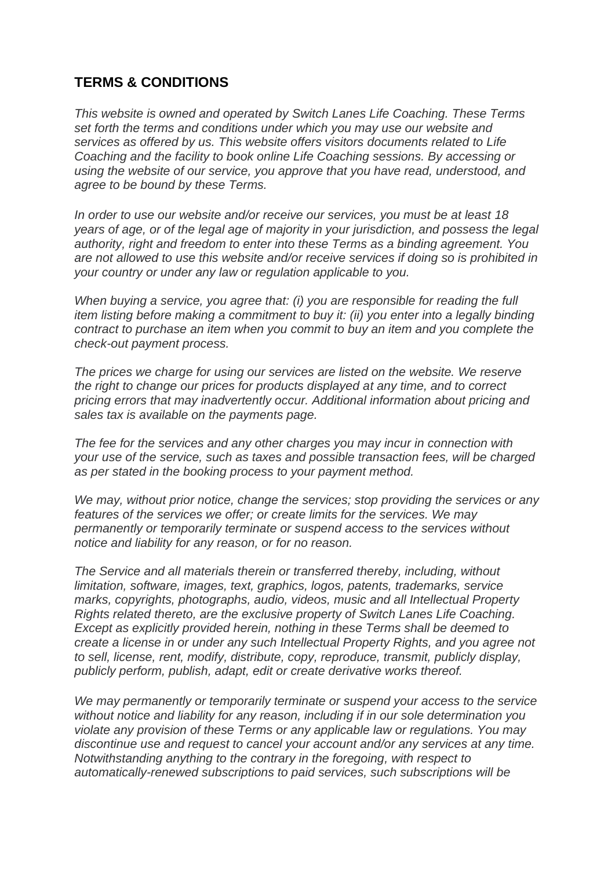## **TERMS & CONDITIONS**

*This website is owned and operated by Switch Lanes Life Coaching. These Terms set forth the terms and conditions under which you may use our website and services as offered by us. This website offers visitors documents related to Life Coaching and the facility to book online Life Coaching sessions. By accessing or using the website of our service, you approve that you have read, understood, and agree to be bound by these Terms.*

*In order to use our website and/or receive our services, you must be at least 18 years of age, or of the legal age of majority in your jurisdiction, and possess the legal authority, right and freedom to enter into these Terms as a binding agreement. You are not allowed to use this website and/or receive services if doing so is prohibited in your country or under any law or regulation applicable to you.*

*When buying a service, you agree that: (i) you are responsible for reading the full item listing before making a commitment to buy it: (ii) you enter into a legally binding contract to purchase an item when you commit to buy an item and you complete the check-out payment process.*

*The prices we charge for using our services are listed on the website. We reserve the right to change our prices for products displayed at any time, and to correct pricing errors that may inadvertently occur. Additional information about pricing and sales tax is available on the payments page.*

*The fee for the services and any other charges you may incur in connection with your use of the service, such as taxes and possible transaction fees, will be charged as per stated in the booking process to your payment method.*

*We may, without prior notice, change the services; stop providing the services or any features of the services we offer; or create limits for the services. We may permanently or temporarily terminate or suspend access to the services without notice and liability for any reason, or for no reason.*

*The Service and all materials therein or transferred thereby, including, without limitation, software, images, text, graphics, logos, patents, trademarks, service marks, copyrights, photographs, audio, videos, music and all Intellectual Property Rights related thereto, are the exclusive property of Switch Lanes Life Coaching. Except as explicitly provided herein, nothing in these Terms shall be deemed to create a license in or under any such Intellectual Property Rights, and you agree not to sell, license, rent, modify, distribute, copy, reproduce, transmit, publicly display, publicly perform, publish, adapt, edit or create derivative works thereof.*

*We may permanently or temporarily terminate or suspend your access to the service without notice and liability for any reason, including if in our sole determination you violate any provision of these Terms or any applicable law or regulations. You may discontinue use and request to cancel your account and/or any services at any time. Notwithstanding anything to the contrary in the foregoing, with respect to automatically-renewed subscriptions to paid services, such subscriptions will be*